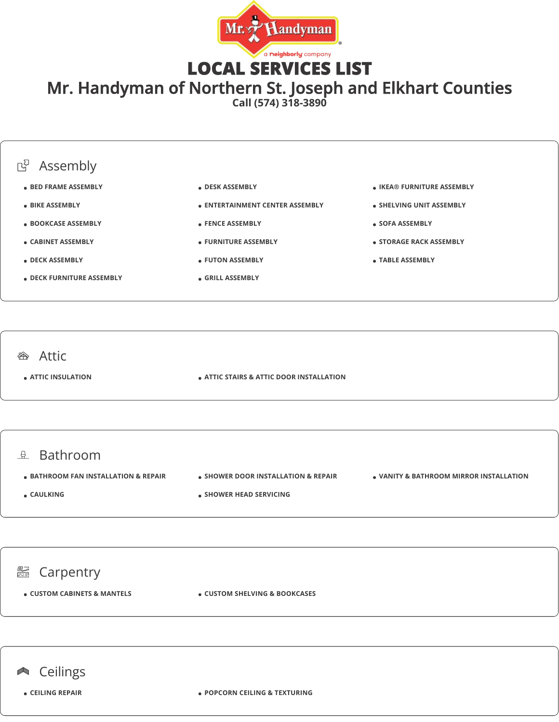

LOCAL SERVICES LIST

Mr. Handyman of Northern St. Joseph and Elkhart Counties

**Call (574) 318-3890**



**CEILING REPAIR POPCORN CEILING & TEXTURING**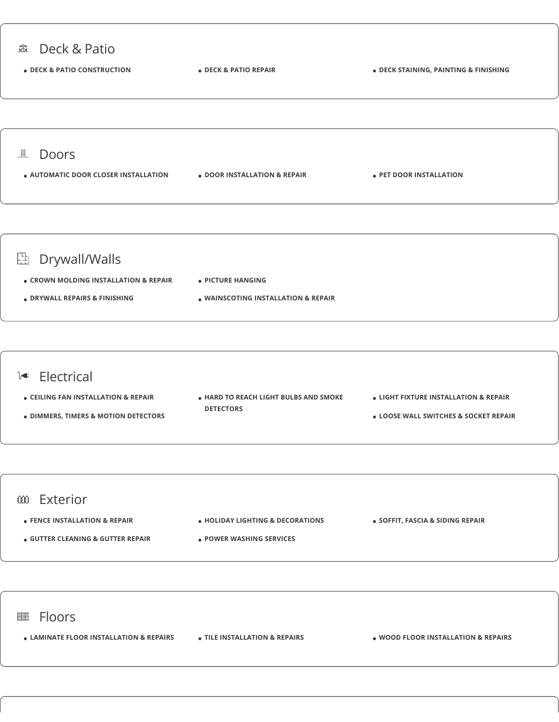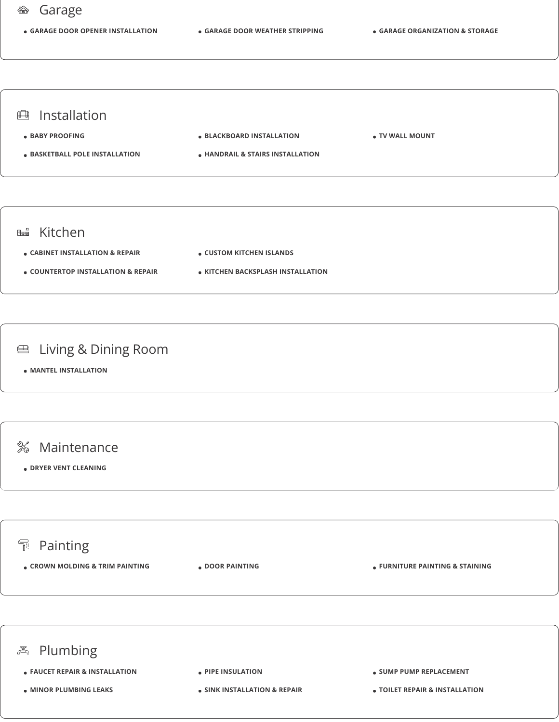## Garage

**GARAGE DOOR OPENER INSTALLATION GARAGE DOOR WEATHER STRIPPING GARAGE ORGANIZATION & STORAGE**



- **CABINET INSTALLATION & REPAIR CUSTOM KITCHEN ISLANDS**
- **COUNTERTOP INSTALLATION & REPAIR KITCHEN BACKSPLASH INSTALLATION**

## **■ Living & Dining Room**

**MANTEL INSTALLATION**



#### **DRYER VENT CLEANING**